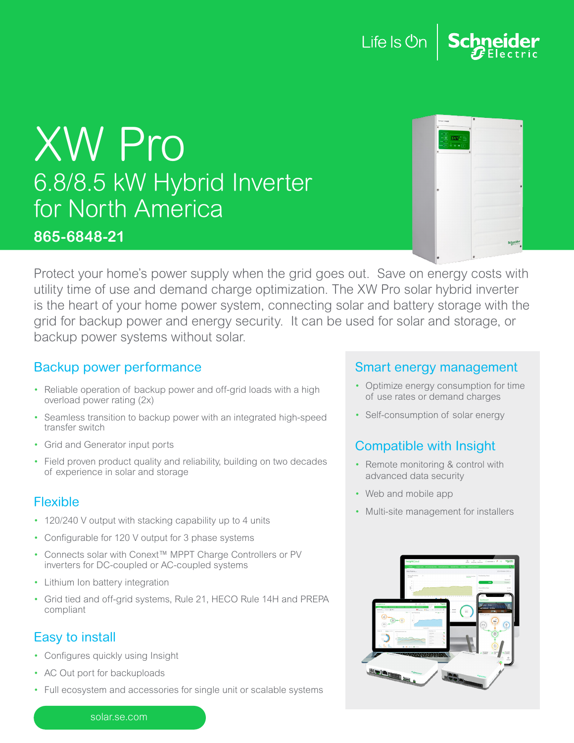### Life Is **Un**

## XW Pro 6.8/8.5 kW Hybrid Inverter for North America

#### **865-6848-21**

|                                                        | $\overline{a}$ |
|--------------------------------------------------------|----------------|
| Conext toward                                          |                |
| $\ddot{\phantom{a}}$<br>$\bullet$                      |                |
| u<br>×<br>$541.7 -$<br>٠<br>and in<br>å<br>厄<br>٠<br>× |                |
| $\epsilon$<br>$\bullet$                                |                |
|                                                        |                |
|                                                        |                |
|                                                        |                |
|                                                        |                |
| $\circ$                                                |                |
|                                                        |                |
|                                                        |                |
|                                                        |                |
|                                                        |                |
|                                                        |                |
|                                                        |                |
|                                                        |                |
|                                                        | <b>Jeccric</b> |
|                                                        |                |
|                                                        |                |

Protect your home's power supply when the grid goes out. Save on energy costs with utility time of use and demand charge optimization. The XW Pro solar hybrid inverter is the heart of your home power system, connecting solar and battery storage with the grid for backup power and energy security. It can be used for solar and storage, or backup power systems without solar.

#### Backup power performance

- Reliable operation of backup power and off-grid loads with a high overload power rating (2x)
- Seamless transition to backup power with an integrated high-speed transfer switch
- Grid and Generator input ports
- Field proven product quality and reliability, building on two decades of experience in solar and storage

#### Flexible

- 120/240 V output with stacking capability up to 4 units
- Configurable for 120 V output for 3 phase systems
- Connects solar with Conext™ MPPT Charge Controllers or PV inverters for DC-coupled or AC-coupled systems
- Lithium Ion battery integration
- Grid tied and off-grid systems, Rule 21, HECO Rule 14H and PREPA compliant

#### Easy to install

- Configures quickly using Insight
- AC Out port for backuploads
- Full ecosystem and accessories for single unit or scalable systems

#### Smart energy management

- Optimize energy consumption for time of use rates or demand charges
- Self-consumption of solar energy

#### Compatible with Insight

- Remote monitoring & control with advanced data security
- Web and mobile app
- Multi-site management for installers



solar.se.com